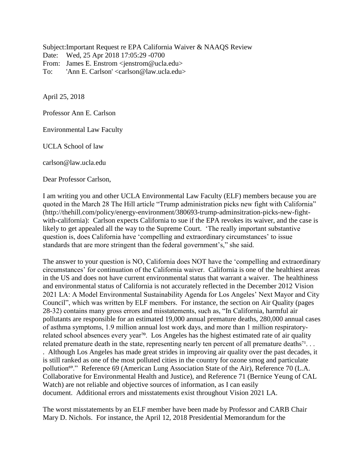Subject: Important Request re EPA California Waiver & NAAQS Review Date: Wed, 25 Apr 2018 17:05:29 -0700 From: James E. Enstrom <jenstrom@ucla.edu> To: 'Ann E. Carlson' <carlson@law.ucla.edu>

April 25, 2018

Professor Ann E. Carlson

Environmental Law Faculty

UCLA School of law

[carlson@law.ucla.edu](mailto:carlson@law.ucla.edu)

Dear Professor Carlson,

I am writing you and other UCLA Environmental Law Faculty (ELF) members because you are quoted in the March 28 The Hill article "Trump administration picks new fight with California" [\(http://thehill.com/policy/energy-environment/380693-trump-adminsitration-picks-new-fight](http://thehill.com/policy/energy-environment/380693-trump-adminsitration-picks-new-fight-with-california)[with-california\)](http://thehill.com/policy/energy-environment/380693-trump-adminsitration-picks-new-fight-with-california): Carlson expects California to sue if the EPA revokes its waiver, and the case is likely to get appealed all the way to the Supreme Court. 'The really important substantive question is, does California have 'compelling and extraordinary circumstances' to issue standards that are more stringent than the federal government's," she said.

The answer to your question is NO, California does NOT have the 'compelling and extraordinary circumstances' for continuation of the California waiver. California is one of the healthiest areas in the US and does not have current environmental status that warrant a waiver. The healthiness and environmental status of California is not accurately reflected in the December 2012 [Vision](https://www.ioes.ucla.edu/publication/vision-2021-la-model-environmental-sustainability-agenda-los-angeles-next-mayor-city-council/)  [2021 LA: A Model Environmental Sustainability Agenda for Los Angeles' Next Mayor and City](https://www.ioes.ucla.edu/publication/vision-2021-la-model-environmental-sustainability-agenda-los-angeles-next-mayor-city-council/)  [Council"](https://www.ioes.ucla.edu/publication/vision-2021-la-model-environmental-sustainability-agenda-los-angeles-next-mayor-city-council/), which was written by ELF members. For instance, the section on Air Quality (pages 28-32) contains many gross errors and misstatements, such as, "In California, harmful air pollutants are responsible for an estimated 19,000 annual premature deaths, 280,000 annual cases of asthma symptoms, 1.9 million annual lost work days, and more than 1 million respiratory‐ related school absences every year<sup>70</sup>. Los Angeles has the highest estimated rate of air quality related premature death in the state, representing nearly ten percent of all premature deaths<sup>71</sup>... . Although Los Angeles has made great strides in improving air quality over the past decades, it is still ranked as one of the most polluted cities in the country for ozone smog and particulate pollution<sup>69</sup>." Reference 69 (American Lung Association State of the Air), Reference 70 (L.A. Collaborative for Environmental Health and Justice), and Reference 71 (Bernice Yeung of CAL

Watch) are not reliable and objective sources of information, as I can easily document. Additional errors and misstatements exist throughout Vision 2021 LA.

The worst misstatements by an ELF member have been made by Professor and CARB Chair Mary D. Nichols. For instance, the April 12, 2018 Presidential Memorandum for the